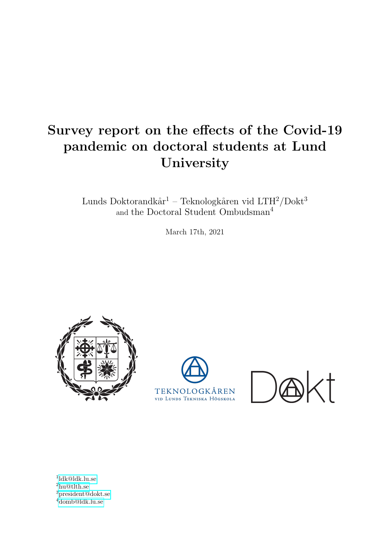## Survey report on the effects of the Covid-19 pandemic on doctoral students at Lund University

Lunds Doktorandkår<sup>1</sup> – Teknologkåren vid LTH<sup>2</sup>/Dokt<sup>3</sup> and the Doctoral Student Ombudsman<sup>4</sup>

March 17th, 2021







 [ldk@ldk.lu.se](mailto:ldk@ldk.lu.se)  $^{2}$ [hu@tlth.se](mailto:hu@heltidare.tlth.se) [president@dokt.se](mailto:president@dokt.lu.se) [domb@ldk.lu.se](mailto:domb@ldk.lu.se)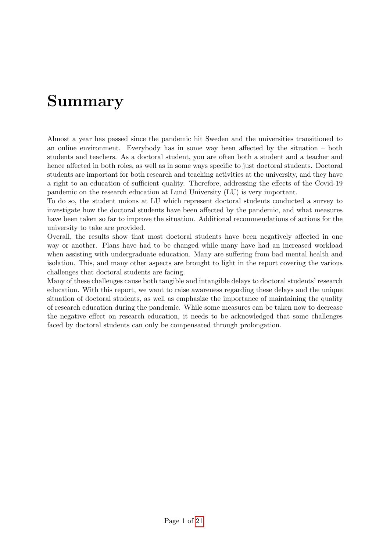## Summary

Almost a year has passed since the pandemic hit Sweden and the universities transitioned to an online environment. Everybody has in some way been affected by the situation – both students and teachers. As a doctoral student, you are often both a student and a teacher and hence affected in both roles, as well as in some ways specific to just doctoral students. Doctoral students are important for both research and teaching activities at the university, and they have a right to an education of sufficient quality. Therefore, addressing the effects of the Covid-19 pandemic on the research education at Lund University (LU) is very important.

To do so, the student unions at LU which represent doctoral students conducted a survey to investigate how the doctoral students have been affected by the pandemic, and what measures have been taken so far to improve the situation. Additional recommendations of actions for the university to take are provided.

Overall, the results show that most doctoral students have been negatively affected in one way or another. Plans have had to be changed while many have had an increased workload when assisting with undergraduate education. Many are suffering from bad mental health and isolation. This, and many other aspects are brought to light in the report covering the various challenges that doctoral students are facing.

Many of these challenges cause both tangible and intangible delays to doctoral students' research education. With this report, we want to raise awareness regarding these delays and the unique situation of doctoral students, as well as emphasize the importance of maintaining the quality of research education during the pandemic. While some measures can be taken now to decrease the negative effect on research education, it needs to be acknowledged that some challenges faced by doctoral students can only be compensated through prolongation.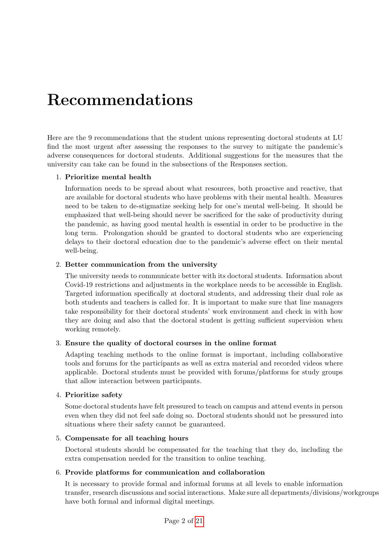# Recommendations

Here are the 9 recommendations that the student unions representing doctoral students at LU find the most urgent after assessing the responses to the survey to mitigate the pandemic's adverse consequences for doctoral students. Additional suggestions for the measures that the university can take can be found in the subsections of the Responses section.

### 1. Prioritize mental health

Information needs to be spread about what resources, both proactive and reactive, that are available for doctoral students who have problems with their mental health. Measures need to be taken to de-stigmatize seeking help for one's mental well-being. It should be emphasized that well-being should never be sacrificed for the sake of productivity during the pandemic, as having good mental health is essential in order to be productive in the long term. Prolongation should be granted to doctoral students who are experiencing delays to their doctoral education due to the pandemic's adverse effect on their mental well-being.

### 2. Better communication from the university

The university needs to communicate better with its doctoral students. Information about Covid-19 restrictions and adjustments in the workplace needs to be accessible in English. Targeted information specifically at doctoral students, and addressing their dual role as both students and teachers is called for. It is important to make sure that line managers take responsibility for their doctoral students' work environment and check in with how they are doing and also that the doctoral student is getting sufficient supervision when working remotely.

#### 3. Ensure the quality of doctoral courses in the online format

Adapting teaching methods to the online format is important, including collaborative tools and forums for the participants as well as extra material and recorded videos where applicable. Doctoral students must be provided with forums/platforms for study groups that allow interaction between participants.

#### 4. Prioritize safety

Some doctoral students have felt pressured to teach on campus and attend events in person even when they did not feel safe doing so. Doctoral students should not be pressured into situations where their safety cannot be guaranteed.

#### 5. Compensate for all teaching hours

Doctoral students should be compensated for the teaching that they do, including the extra compensation needed for the transition to online teaching.

#### 6. Provide platforms for communication and collaboration

It is necessary to provide formal and informal forums at all levels to enable information transfer, research discussions and social interactions. Make sure all departments/divisions/workgroups have both formal and informal digital meetings.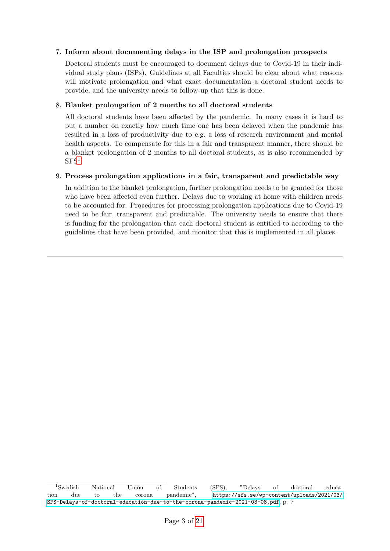#### 7. Inform about documenting delays in the ISP and prolongation prospects

Doctoral students must be encouraged to document delays due to Covid-19 in their individual study plans (ISPs). Guidelines at all Faculties should be clear about what reasons will motivate prolongation and what exact documentation a doctoral student needs to provide, and the university needs to follow-up that this is done.

#### 8. Blanket prolongation of 2 months to all doctoral students

All doctoral students have been affected by the pandemic. In many cases it is hard to put a number on exactly how much time one has been delayed when the pandemic has resulted in a loss of productivity due to e.g. a loss of research environment and mental health aspects. To compensate for this in a fair and transparent manner, there should be a blanket prolongation of 2 months to all doctoral students, as is also recommended by  ${\rm SFS^1}.$  ${\rm SFS^1}.$  ${\rm SFS^1}.$ 

### 9. Process prolongation applications in a fair, transparent and predictable way

In addition to the blanket prolongation, further prolongation needs to be granted for those who have been affected even further. Delays due to working at home with children needs to be accounted for. Procedures for processing prolongation applications due to Covid-19 need to be fair, transparent and predictable. The university needs to ensure that there is funding for the prolongation that each doctoral student is entitled to according to the guidelines that have been provided, and monitor that this is implemented in all places.

<span id="page-3-0"></span><sup>1</sup>Swedish National Union of Students (SFS), "Delays of doctoral education due to the corona pandemic", [https://sfs.se/wp-content/uploads/2021/03/](https://sfs.se/wp-content/uploads/2021/03/SFS-Delays-of-doctoral-education-due-to-the-corona-pandemic-2021-03-08.pdf) [SFS-Delays-of-doctoral-education-due-to-the-corona-pandemic-2021-03-08.pdf](https://sfs.se/wp-content/uploads/2021/03/SFS-Delays-of-doctoral-education-due-to-the-corona-pandemic-2021-03-08.pdf), p. 7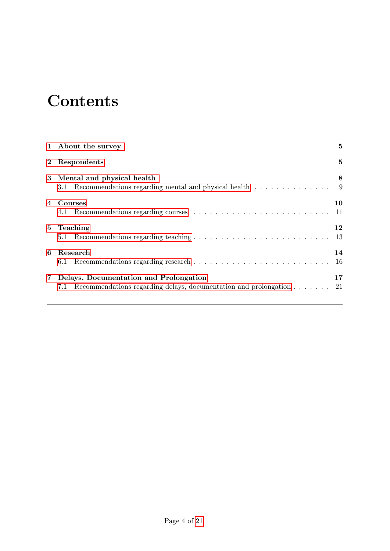# **Contents**

|              | 1 About the survey                                                                                                          | 5         |
|--------------|-----------------------------------------------------------------------------------------------------------------------------|-----------|
| $\mathbf{2}$ | Respondents                                                                                                                 | 5         |
|              | 3 Mental and physical health<br>Recommendations regarding mental and physical health $\ldots \ldots \ldots \ldots$ 9<br>3.1 | 8         |
| 4            | Courses<br>4.1                                                                                                              | 10        |
| $5 -$        | Teaching<br>5.1                                                                                                             | 12        |
| 6            | Research<br>6.1                                                                                                             | 14<br>-16 |
| $7\,$        | Delays, Documentation and Prolongation<br>Recommendations regarding delays, documentation and prolongation<br>7.1           | 17<br>-21 |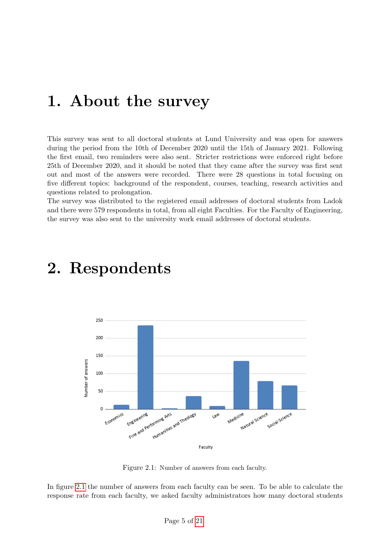## <span id="page-5-0"></span>1. About the survey

This survey was sent to all doctoral students at Lund University and was open for answers during the period from the 10th of December 2020 until the 15th of January 2021. Following the first email, two reminders were also sent. Stricter restrictions were enforced right before 25th of December 2020, and it should be noted that they came after the survey was first sent out and most of the answers were recorded. There were 28 questions in total focusing on five different topics: background of the respondent, courses, teaching, research activities and questions related to prolongation.

<span id="page-5-1"></span>The survey was distributed to the registered email addresses of doctoral students from Ladok and there were 579 respondents in total, from all eight Faculties. For the Faculty of Engineering, the survey was also sent to the university work email addresses of doctoral students.

<span id="page-5-2"></span>

## 2. Respondents

Figure 2.1: Number of answers from each faculty.

In figure [2.1](#page-5-2) the number of answers from each faculty can be seen. To be able to calculate the response rate from each faculty, we asked faculty administrators how many doctoral students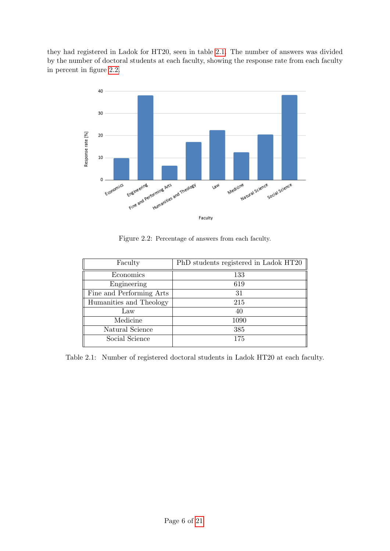they had registered in Ladok for HT20, seen in table [2.1.](#page-6-0) The number of answers was divided by the number of doctoral students at each faculty, showing the response rate from each faculty in percent in figure [2.2.](#page-6-1)

<span id="page-6-1"></span>

Figure 2.2: Percentage of answers from each faculty.

<span id="page-6-0"></span>

| Faculty                  | PhD students registered in Ladok HT20 |
|--------------------------|---------------------------------------|
| Economics                | 133                                   |
| Engineering              | 619                                   |
| Fine and Performing Arts | 31                                    |
| Humanities and Theology  | 215                                   |
| Law                      | 40                                    |
| Medicine                 | 1090                                  |
| Natural Science          | 385                                   |
| Social Science           | 175                                   |
|                          |                                       |

Table 2.1: Number of registered doctoral students in Ladok HT20 at each faculty.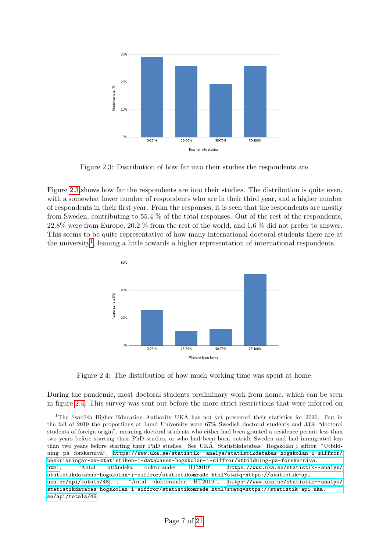<span id="page-7-0"></span>

Figure 2.3: Distribution of how far into their studies the respondents are.

Figure [2.3](#page-7-0) shows how far the respondents are into their studies. The distribution is quite even, with a somewhat lower number of respondents who are in their third year, and a higher number of respondents in their first year. From the responses, it is seen that the respondents are mostly from Sweden, contributing to  $55.4\%$  of the total responses. Out of the rest of the respondents, 22.8% were from Europe, 20.2 % from the rest of the world, and 1,6 % did not prefer to answer. This seems to be quite representative of how many international doctoral students there are at the university<sup>[1](#page-7-1)</sup>, leaning a little towards a higher representation of international respondents.

<span id="page-7-2"></span>

Figure 2.4: The distribution of how much working time was spent at home.

During the pandemic, most doctoral students preliminary work from home, which can be seen in figure [2.4.](#page-7-2) This survey was sent out before the more strict restrictions that were inforced on

<span id="page-7-1"></span><sup>&</sup>lt;sup>1</sup>The Swedish Higher Education Authority UKA has not yet presented their statistics for 2020. But in the fall of 2019 the proportions at Lund University were 67% Swedish doctoral students and 33% "doctoral students of foreign origin", meaning doctoral students who either had been granted a residence permit less than two years before starting their PhD studies, or who had been born outside Sweden and had immigrated less than two years before starting their PhD studies. See UKA, Statistikdatabas: Högskolan i siffror, "Utbildning på forskarnivå", [https://www.uka.se/statistik--analys/statistikdatabas-hogskolan-i-siffror/](https://www.uka.se/statistik--analys/statistikdatabas-hogskolan-i-siffror/beskrivningar-av-statistiken-i-databasen-hogskolan-i-siffror/utbildning-pa-forskarniva.html) [beskrivningar-av-statistiken-i-databasen-hogskolan-i-siffror/utbildning-pa-forskarniva.](https://www.uka.se/statistik--analys/statistikdatabas-hogskolan-i-siffror/beskrivningar-av-statistiken-i-databasen-hogskolan-i-siffror/utbildning-pa-forskarniva.html) [html](https://www.uka.se/statistik--analys/statistikdatabas-hogskolan-i-siffror/beskrivningar-av-statistiken-i-databasen-hogskolan-i-siffror/utbildning-pa-forskarniva.html); "Antal utländska doktorander HT2019", [https://www.uka.se/statistik--analys/](https://www.uka.se/statistik--analys/statistikdatabas-hogskolan-i-siffror/statistikomrade.html?statq=https://statistik-api.uka.se/api/totals/48) [statistikdatabas-hogskolan-i-siffror/statistikomrade.html?statq=https://statistik-api.](https://www.uka.se/statistik--analys/statistikdatabas-hogskolan-i-siffror/statistikomrade.html?statq=https://statistik-api.uka.se/api/totals/48) [uka.se/api/totals/48](https://www.uka.se/statistik--analys/statistikdatabas-hogskolan-i-siffror/statistikomrade.html?statq=https://statistik-api.uka.se/api/totals/48) ; "Antal doktorander HT2019", [https://www.uka.se/statistik--analys/](https://www.uka.se/statistik--analys/statistikdatabas-hogskolan-i-siffror/statistikomrade.html?statq=https://statistik-api.uka.se/api/totals/46) [statistikdatabas-hogskolan-i-siffror/statistikomrade.html?statq=https://statistik-api.uka.](https://www.uka.se/statistik--analys/statistikdatabas-hogskolan-i-siffror/statistikomrade.html?statq=https://statistik-api.uka.se/api/totals/46) [se/api/totals/46](https://www.uka.se/statistik--analys/statistikdatabas-hogskolan-i-siffror/statistikomrade.html?statq=https://statistik-api.uka.se/api/totals/46).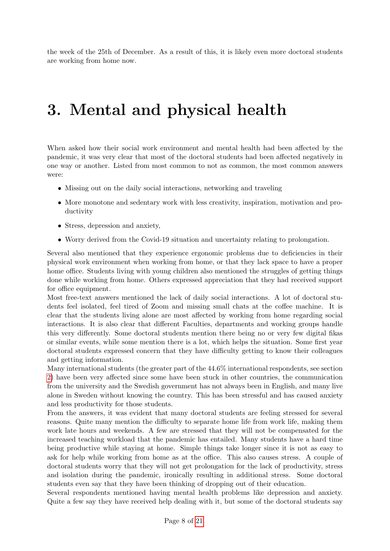<span id="page-8-0"></span>the week of the 25th of December. As a result of this, it is likely even more doctoral students are working from home now.

## 3. Mental and physical health

When asked how their social work environment and mental health had been affected by the pandemic, it was very clear that most of the doctoral students had been affected negatively in one way or another. Listed from most common to not as common, the most common answers were:

- Missing out on the daily social interactions, networking and traveling
- More monotone and sedentary work with less creativity, inspiration, motivation and productivity
- Stress, depression and anxiety,
- Worry derived from the Covid-19 situation and uncertainty relating to prolongation.

Several also mentioned that they experience ergonomic problems due to deficiencies in their physical work environment when working from home, or that they lack space to have a proper home office. Students living with young children also mentioned the struggles of getting things done while working from home. Others expressed appreciation that they had received support for office equipment.

Most free-text answers mentioned the lack of daily social interactions. A lot of doctoral students feel isolated, feel tired of Zoom and missing small chats at the coffee machine. It is clear that the students living alone are most affected by working from home regarding social interactions. It is also clear that different Faculties, departments and working groups handle this very differently. Some doctoral students mention there being no or very few digital fikas or similar events, while some mention there is a lot, which helps the situation. Some first year doctoral students expressed concern that they have difficulty getting to know their colleagues and getting information.

Many international students (the greater part of the 44.6% international respondents, see section [2\)](#page-5-1) have been very affected since some have been stuck in other countries, the communication from the university and the Swedish government has not always been in English, and many live alone in Sweden without knowing the country. This has been stressful and has caused anxiety and less productivity for those students.

From the answers, it was evident that many doctoral students are feeling stressed for several reasons. Quite many mention the difficulty to separate home life from work life, making them work late hours and weekends. A few are stressed that they will not be compensated for the increased teaching workload that the pandemic has entailed. Many students have a hard time being productive while staying at home. Simple things take longer since it is not as easy to ask for help while working from home as at the office. This also causes stress. A couple of doctoral students worry that they will not get prolongation for the lack of productivity, stress and isolation during the pandemic, ironically resulting in additional stress. Some doctoral students even say that they have been thinking of dropping out of their education.

Several respondents mentioned having mental health problems like depression and anxiety. Quite a few say they have received help dealing with it, but some of the doctoral students say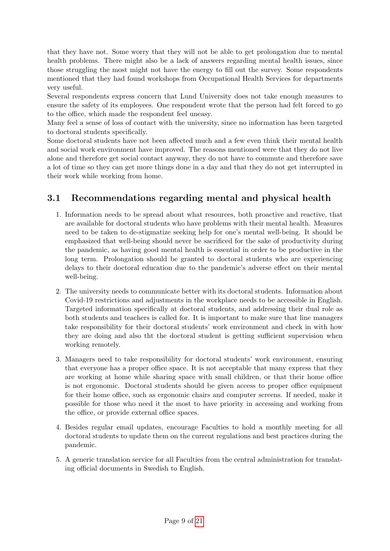that they have not. Some worry that they will not be able to get prolongation due to mental health problems. There might also be a lack of answers regarding mental health issues, since those struggling the most might not have the energy to fill out the survey. Some respondents mentioned that they had found workshops from Occupational Health Services for departments very useful.

Several respondents express concern that Lund University does not take enough measures to ensure the safety of its employees. One respondent wrote that the person had felt forced to go to the office, which made the respondent feel uneasy.

Many feel a sense of loss of contact with the university, since no information has been targeted to doctoral students specifically.

Some doctoral students have not been affected much and a few even think their mental health and social work environment have improved. The reasons mentioned were that they do not live alone and therefore get social contact anyway, they do not have to commute and therefore save a lot of time so they can get more things done in a day and that they do not get interrupted in their work while working from home.

### <span id="page-9-0"></span>3.1 Recommendations regarding mental and physical health

- 1. Information needs to be spread about what resources, both proactive and reactive, that are available for doctoral students who have problems with their mental health. Measures need to be taken to de-stigmatize seeking help for one's mental well-being. It should be emphasized that well-being should never be sacrificed for the sake of productivity during the pandemic, as having good mental health is essential in order to be productive in the long term. Prolongation should be granted to doctoral students who are experiencing delays to their doctoral education due to the pandemic's adverse effect on their mental well-being.
- 2. The university needs to communicate better with its doctoral students. Information about Covid-19 restrictions and adjustments in the workplace needs to be accessible in English. Targeted information specifically at doctoral students, and addressing their dual role as both students and teachers is called for. It is important to make sure that line managers take responsibility for their doctoral students' work environment and check in with how they are doing and also tht the doctoral student is getting sufficient supervision when working remotely.
- 3. Managers need to take responsibility for doctoral students' work environment, ensuring that everyone has a proper office space. It is not acceptable that many express that they are working at home while sharing space with small children, or that their home office is not ergonomic. Doctoral students should be given access to proper office equipment for their home office, such as ergonomic chairs and computer screens. If needed, make it possible for those who need it the most to have priority in accessing and working from the office, or provide external office spaces.
- 4. Besides regular email updates, encourage Faculties to hold a monthly meeting for all doctoral students to update them on the current regulations and best practices during the pandemic.
- 5. A generic translation service for all Faculties from the central administration for translating official documents in Swedish to English.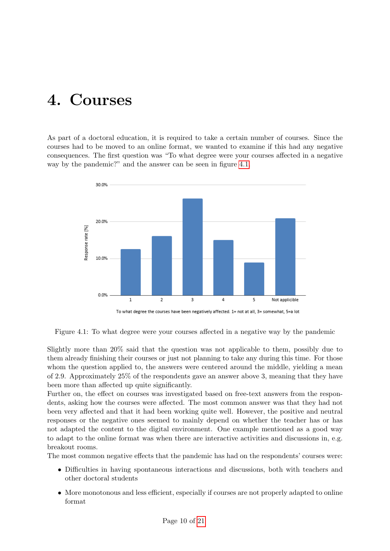## <span id="page-10-0"></span>4. Courses

<span id="page-10-1"></span>As part of a doctoral education, it is required to take a certain number of courses. Since the courses had to be moved to an online format, we wanted to examine if this had any negative consequences. The first question was "To what degree were your courses affected in a negative way by the pandemic?" and the answer can be seen in figure [4.1.](#page-10-1)



To what degree the courses have been negatively affected. 1= not at all, 3= somewhat, 5=a lot

Figure 4.1: To what degree were your courses affected in a negative way by the pandemic

Slightly more than 20% said that the question was not applicable to them, possibly due to them already finishing their courses or just not planning to take any during this time. For those whom the question applied to, the answers were centered around the middle, yielding a mean of 2.9. Approximately 25% of the respondents gave an answer above 3, meaning that they have been more than affected up quite significantly.

Further on, the effect on courses was investigated based on free-text answers from the respondents, asking how the courses were affected. The most common answer was that they had not been very affected and that it had been working quite well. However, the positive and neutral responses or the negative ones seemed to mainly depend on whether the teacher has or has not adapted the content to the digital environment. One example mentioned as a good way to adapt to the online format was when there are interactive activities and discussions in, e.g. breakout rooms.

The most common negative effects that the pandemic has had on the respondents' courses were:

- Difficulties in having spontaneous interactions and discussions, both with teachers and other doctoral students
- More monotonous and less efficient, especially if courses are not properly adapted to online format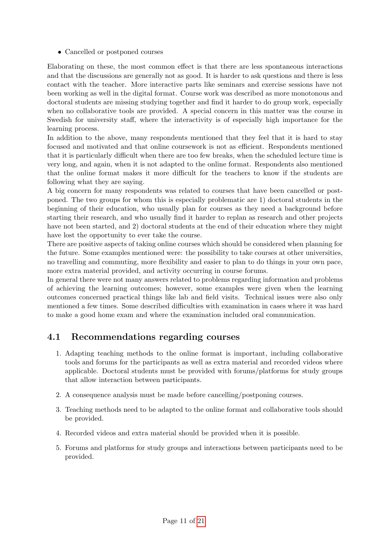• Cancelled or postponed courses

Elaborating on these, the most common effect is that there are less spontaneous interactions and that the discussions are generally not as good. It is harder to ask questions and there is less contact with the teacher. More interactive parts like seminars and exercise sessions have not been working as well in the digital format. Course work was described as more monotonous and doctoral students are missing studying together and find it harder to do group work, especially when no collaborative tools are provided. A special concern in this matter was the course in Swedish for university staff, where the interactivity is of especially high importance for the learning process.

In addition to the above, many respondents mentioned that they feel that it is hard to stay focused and motivated and that online coursework is not as efficient. Respondents mentioned that it is particularly difficult when there are too few breaks, when the scheduled lecture time is very long, and again, when it is not adapted to the online format. Respondents also mentioned that the online format makes it more difficult for the teachers to know if the students are following what they are saying.

A big concern for many respondents was related to courses that have been cancelled or postponed. The two groups for whom this is especially problematic are 1) doctoral students in the beginning of their education, who usually plan for courses as they need a background before starting their research, and who usually find it harder to replan as research and other projects have not been started, and 2) doctoral students at the end of their education where they might have lost the opportunity to ever take the course.

There are positive aspects of taking online courses which should be considered when planning for the future. Some examples mentioned were: the possibility to take courses at other universities, no travelling and commuting, more flexibility and easier to plan to do things in your own pace, more extra material provided, and activity occurring in course forums.

In general there were not many answers related to problems regarding information and problems of achieving the learning outcomes; however, some examples were given when the learning outcomes concerned practical things like lab and field visits. Technical issues were also only mentioned a few times. Some described difficulties with examination in cases where it was hard to make a good home exam and where the examination included oral communication.

### <span id="page-11-0"></span>4.1 Recommendations regarding courses

- 1. Adapting teaching methods to the online format is important, including collaborative tools and forums for the participants as well as extra material and recorded videos where applicable. Doctoral students must be provided with forums/platforms for study groups that allow interaction between participants.
- 2. A consequence analysis must be made before cancelling/postponing courses.
- 3. Teaching methods need to be adapted to the online format and collaborative tools should be provided.
- 4. Recorded videos and extra material should be provided when it is possible.
- 5. Forums and platforms for study groups and interactions between participants need to be provided.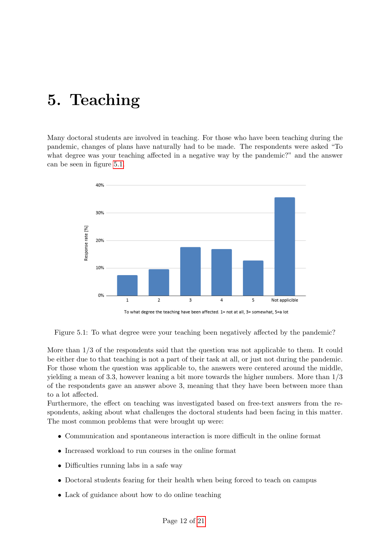# <span id="page-12-0"></span>5. Teaching

Many doctoral students are involved in teaching. For those who have been teaching during the pandemic, changes of plans have naturally had to be made. The respondents were asked "To what degree was your teaching affected in a negative way by the pandemic?" and the answer can be seen in figure [5.1.](#page-12-1)

<span id="page-12-1"></span>

Figure 5.1: To what degree were your teaching been negatively affected by the pandemic?

More than 1/3 of the respondents said that the question was not applicable to them. It could be either due to that teaching is not a part of their task at all, or just not during the pandemic. For those whom the question was applicable to, the answers were centered around the middle, yielding a mean of 3.3, however leaning a bit more towards the higher numbers. More than 1/3 of the respondents gave an answer above 3, meaning that they have been between more than to a lot affected.

Furthermore, the effect on teaching was investigated based on free-text answers from the respondents, asking about what challenges the doctoral students had been facing in this matter. The most common problems that were brought up were:

- Communication and spontaneous interaction is more difficult in the online format
- Increased workload to run courses in the online format
- Difficulties running labs in a safe way
- Doctoral students fearing for their health when being forced to teach on campus
- Lack of guidance about how to do online teaching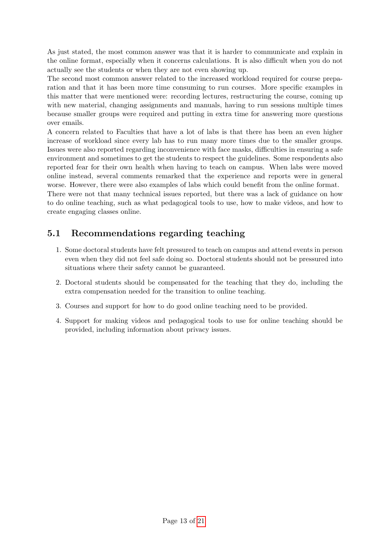As just stated, the most common answer was that it is harder to communicate and explain in the online format, especially when it concerns calculations. It is also difficult when you do not actually see the students or when they are not even showing up.

The second most common answer related to the increased workload required for course preparation and that it has been more time consuming to run courses. More specific examples in this matter that were mentioned were: recording lectures, restructuring the course, coming up with new material, changing assignments and manuals, having to run sessions multiple times because smaller groups were required and putting in extra time for answering more questions over emails.

A concern related to Faculties that have a lot of labs is that there has been an even higher increase of workload since every lab has to run many more times due to the smaller groups. Issues were also reported regarding inconvenience with face masks, difficulties in ensuring a safe environment and sometimes to get the students to respect the guidelines. Some respondents also reported fear for their own health when having to teach on campus. When labs were moved online instead, several comments remarked that the experience and reports were in general worse. However, there were also examples of labs which could benefit from the online format.

There were not that many technical issues reported, but there was a lack of guidance on how to do online teaching, such as what pedagogical tools to use, how to make videos, and how to create engaging classes online.

### <span id="page-13-0"></span>5.1 Recommendations regarding teaching

- 1. Some doctoral students have felt pressured to teach on campus and attend events in person even when they did not feel safe doing so. Doctoral students should not be pressured into situations where their safety cannot be guaranteed.
- 2. Doctoral students should be compensated for the teaching that they do, including the extra compensation needed for the transition to online teaching.
- 3. Courses and support for how to do good online teaching need to be provided.
- 4. Support for making videos and pedagogical tools to use for online teaching should be provided, including information about privacy issues.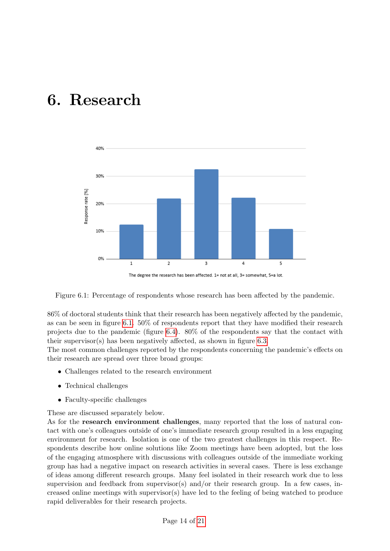## <span id="page-14-0"></span>6. Research

<span id="page-14-1"></span>

The degree the research has been affected. 1= not at all, 3= somewhat, 5=a lot.

Figure 6.1: Percentage of respondents whose research has been affected by the pandemic.

86% of doctoral students think that their research has been negatively affected by the pandemic, as can be seen in figure [6.1.](#page-14-1) 50% of respondents report that they have modified their research projects due to the pandemic (figure [6.4\)](#page-16-1). 80% of the respondents say that the contact with their supervisor(s) has been negatively affected, as shown in figure [6.3.](#page-15-0)

The most common challenges reported by the respondents concerning the pandemic's effects on their research are spread over three broad groups:

- Challenges related to the research environment
- Technical challenges
- Faculty-specific challenges

These are discussed separately below.

As for the research environment challenges, many reported that the loss of natural contact with one's colleagues outside of one's immediate research group resulted in a less engaging environment for research. Isolation is one of the two greatest challenges in this respect. Respondents describe how online solutions like Zoom meetings have been adopted, but the loss of the engaging atmosphere with discussions with colleagues outside of the immediate working group has had a negative impact on research activities in several cases. There is less exchange of ideas among different research groups. Many feel isolated in their research work due to less supervision and feedback from supervisor(s) and/or their research group. In a few cases, increased online meetings with supervisor(s) have led to the feeling of being watched to produce rapid deliverables for their research projects.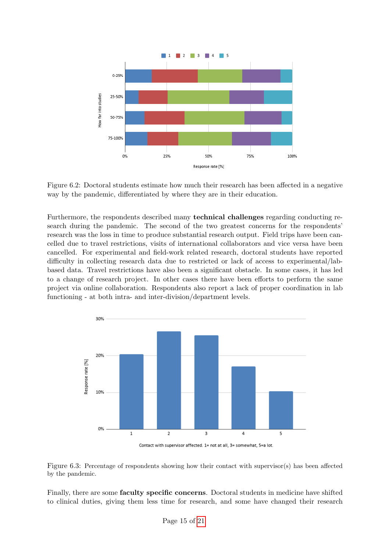

Figure 6.2: Doctoral students estimate how much their research has been affected in a negative way by the pandemic, differentiated by where they are in their education.

Furthermore, the respondents described many technical challenges regarding conducting research during the pandemic. The second of the two greatest concerns for the respondents' research was the loss in time to produce substantial research output. Field trips have been cancelled due to travel restrictions, visits of international collaborators and vice versa have been cancelled. For experimental and field-work related research, doctoral students have reported difficulty in collecting research data due to restricted or lack of access to experimental/labbased data. Travel restrictions have also been a significant obstacle. In some cases, it has led to a change of research project. In other cases there have been efforts to perform the same project via online collaboration. Respondents also report a lack of proper coordination in lab functioning - at both intra- and inter-division/department levels.

<span id="page-15-0"></span>

Contact with supervisor affected. 1= not at all, 3= somewhat, 5=a lot.



Finally, there are some faculty specific concerns. Doctoral students in medicine have shifted to clinical duties, giving them less time for research, and some have changed their research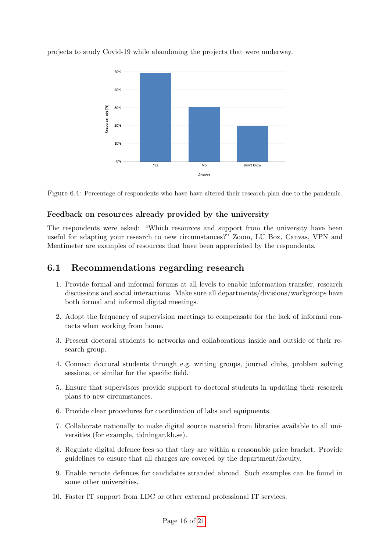

<span id="page-16-1"></span>projects to study Covid-19 while abandoning the projects that were underway.



### Feedback on resources already provided by the university

The respondents were asked: "Which resources and support from the university have been useful for adapting your research to new circumstances?" Zoom, LU Box, Canvas, VPN and Mentimeter are examples of resources that have been appreciated by the respondents.

### <span id="page-16-0"></span>6.1 Recommendations regarding research

- 1. Provide formal and informal forums at all levels to enable information transfer, research discussions and social interactions. Make sure all departments/divisions/workgroups have both formal and informal digital meetings.
- 2. Adopt the frequency of supervision meetings to compensate for the lack of informal contacts when working from home.
- 3. Present doctoral students to networks and collaborations inside and outside of their research group.
- 4. Connect doctoral students through e.g. writing groups, journal clubs, problem solving sessions, or similar for the specific field.
- 5. Ensure that supervisors provide support to doctoral students in updating their research plans to new circumstances.
- 6. Provide clear procedures for coordination of labs and equipments.
- 7. Collaborate nationally to make digital source material from libraries available to all universities (for example, tidningar.kb.se).
- 8. Regulate digital defence fees so that they are within a reasonable price bracket. Provide guidelines to ensure that all charges are covered by the department/faculty.
- 9. Enable remote defences for candidates stranded abroad. Such examples can be found in some other universities.
- 10. Faster IT support from LDC or other external professional IT services.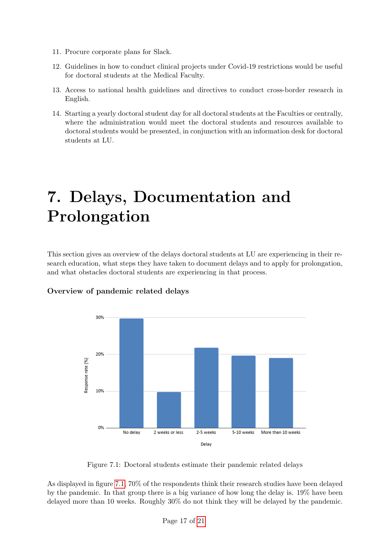- 11. Procure corporate plans for Slack.
- 12. Guidelines in how to conduct clinical projects under Covid-19 restrictions would be useful for doctoral students at the Medical Faculty.
- 13. Access to national health guidelines and directives to conduct cross-border research in English.
- 14. Starting a yearly doctoral student day for all doctoral students at the Faculties or centrally, where the administration would meet the doctoral students and resources available to doctoral students would be presented, in conjunction with an information desk for doctoral students at LU.

# <span id="page-17-0"></span>7. Delays, Documentation and Prolongation

This section gives an overview of the delays doctoral students at LU are experiencing in their research education, what steps they have taken to document delays and to apply for prolongation, and what obstacles doctoral students are experiencing in that process.



### <span id="page-17-1"></span>Overview of pandemic related delays

Figure 7.1: Doctoral students estimate their pandemic related delays

As displayed in figure [7.1,](#page-17-1) 70% of the respondents think their research studies have been delayed by the pandemic. In that group there is a big variance of how long the delay is. 19% have been delayed more than 10 weeks. Roughly 30% do not think they will be delayed by the pandemic.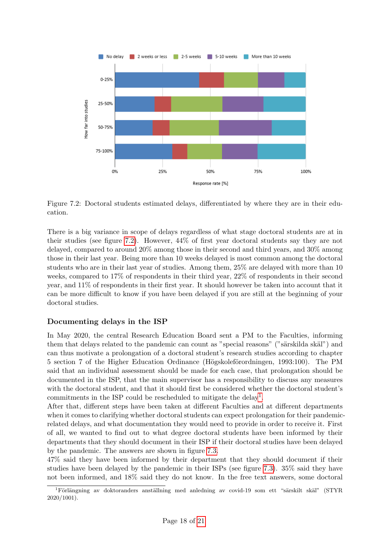<span id="page-18-0"></span>

Figure 7.2: Doctoral students estimated delays, differentiated by where they are in their education.

There is a big variance in scope of delays regardless of what stage doctoral students are at in their studies (see figure [7.2\)](#page-18-0). However, 44% of first year doctoral students say they are not delayed, compared to around 20% among those in their second and third years, and 30% among those in their last year. Being more than 10 weeks delayed is most common among the doctoral students who are in their last year of studies. Among them, 25% are delayed with more than 10 weeks, compared to 17% of respondents in their third year, 22% of respondents in their second year, and 11% of respondents in their first year. It should however be taken into account that it can be more difficult to know if you have been delayed if you are still at the beginning of your doctoral studies.

### Documenting delays in the ISP

In May 2020, the central Research Education Board sent a PM to the Faculties, informing them that delays related to the pandemic can count as "special reasons" ("särskilda skäl") and can thus motivate a prolongation of a doctoral student's research studies according to chapter 5 section 7 of the Higher Education Ordinance (Högskoleförordningen, 1993:100). The PM said that an individual assessment should be made for each case, that prolongation should be documented in the ISP, that the main supervisor has a responsibility to discuss any measures with the doctoral student, and that it should first be considered whether the doctoral student's commitments in the ISP could be rescheduled to mitigate the delay<sup>[1](#page-18-1)</sup>.

After that, different steps have been taken at different Faculties and at different departments when it comes to clarifying whether doctoral students can expect prolongation for their pandemicrelated delays, and what documentation they would need to provide in order to receive it. First of all, we wanted to find out to what degree doctoral students have been informed by their departments that they should document in their ISP if their doctoral studies have been delayed by the pandemic. The answers are shown in figure [7.3.](#page-19-0)

47% said they have been informed by their department that they should document if their studies have been delayed by the pandemic in their ISPs (see figure [7.3\)](#page-19-0). 35% said they have not been informed, and 18% said they do not know. In the free text answers, some doctoral

<span id="page-18-1"></span> ${}^{1}$ Förlängning av doktoranders anställning med anledning av covid-19 som ett "särskilt skäl" (STYR 2020/1001).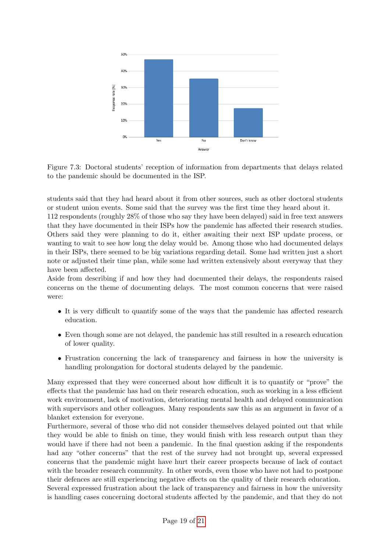<span id="page-19-0"></span>

Figure 7.3: Doctoral students' reception of information from departments that delays related to the pandemic should be documented in the ISP.

students said that they had heard about it from other sources, such as other doctoral students or student union events. Some said that the survey was the first time they heard about it.

112 respondents (roughly 28% of those who say they have been delayed) said in free text answers that they have documented in their ISPs how the pandemic has affected their research studies. Others said they were planning to do it, either awaiting their next ISP update process, or wanting to wait to see how long the delay would be. Among those who had documented delays in their ISPs, there seemed to be big variations regarding detail. Some had written just a short note or adjusted their time plan, while some had written extensively about everyway that they have been affected.

Aside from describing if and how they had documented their delays, the respondents raised concerns on the theme of documenting delays. The most common concerns that were raised were:

- It is very difficult to quantify some of the ways that the pandemic has affected research education.
- Even though some are not delayed, the pandemic has still resulted in a research education of lower quality.
- Frustration concerning the lack of transparency and fairness in how the university is handling prolongation for doctoral students delayed by the pandemic.

Many expressed that they were concerned about how difficult it is to quantify or "prove" the effects that the pandemic has had on their research education, such as working in a less efficient work environment, lack of motivation, deteriorating mental health and delayed communication with supervisors and other colleagues. Many respondents saw this as an argument in favor of a blanket extension for everyone.

Furthermore, several of those who did not consider themselves delayed pointed out that while they would be able to finish on time, they would finish with less research output than they would have if there had not been a pandemic. In the final question asking if the respondents had any "other concerns" that the rest of the survey had not brought up, several expressed concerns that the pandemic might have hurt their career prospects because of lack of contact with the broader research community. In other words, even those who have not had to postpone their defences are still experiencing negative effects on the quality of their research education. Several expressed frustration about the lack of transparency and fairness in how the university is handling cases concerning doctoral students affected by the pandemic, and that they do not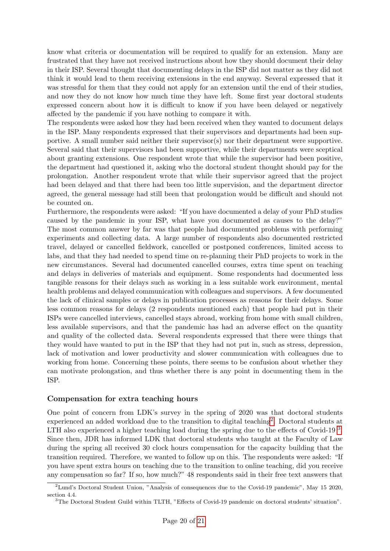know what criteria or documentation will be required to qualify for an extension. Many are frustrated that they have not received instructions about how they should document their delay in their ISP. Several thought that documenting delays in the ISP did not matter as they did not think it would lead to them receiving extensions in the end anyway. Several expressed that it was stressful for them that they could not apply for an extension until the end of their studies, and now they do not know how much time they have left. Some first year doctoral students expressed concern about how it is difficult to know if you have been delayed or negatively affected by the pandemic if you have nothing to compare it with.

The respondents were asked how they had been received when they wanted to document delays in the ISP. Many respondents expressed that their supervisors and departments had been supportive. A small number said neither their supervisor(s) nor their department were supportive. Several said that their supervisors had been supportive, while their departments were sceptical about granting extensions. One respondent wrote that while the supervisor had been positive, the department had questioned it, asking who the doctoral student thought should pay for the prolongation. Another respondent wrote that while their supervisor agreed that the project had been delayed and that there had been too little supervision, and the department director agreed, the general message had still been that prolongation would be difficult and should not be counted on.

Furthermore, the respondents were asked: "If you have documented a delay of your PhD studies caused by the pandemic in your ISP, what have you documented as causes to the delay?" The most common answer by far was that people had documented problems with performing experiments and collecting data. A large number of respondents also documented restricted travel, delayed or cancelled fieldwork, cancelled or postponed conferences, limited access to labs, and that they had needed to spend time on re-planning their PhD projects to work in the new circumstances. Several had documented cancelled courses, extra time spent on teaching and delays in deliveries of materials and equipment. Some respondents had documented less tangible reasons for their delays such as working in a less suitable work environment, mental health problems and delayed communication with colleagues and supervisors. A few documented the lack of clinical samples or delays in publication processes as reasons for their delays. Some less common reasons for delays (2 respondents mentioned each) that people had put in their ISPs were cancelled interviews, cancelled stays abroad, working from home with small children, less available supervisors, and that the pandemic has had an adverse effect on the quantity and quality of the collected data. Several respondents expressed that there were things that they would have wanted to put in the ISP that they had not put in, such as stress, depression, lack of motivation and lower productivity and slower communication with colleagues due to working from home. Concerning these points, there seems to be confusion about whether they can motivate prolongation, and thus whether there is any point in documenting them in the ISP.

#### Compensation for extra teaching hours

One point of concern from LDK's survey in the spring of 2020 was that doctoral students experienced an added workload due to the transition to digital teaching<sup>[2](#page-20-0)</sup>. Doctoral students at LTH also experienced a higher teaching load during the spring due to the effects of Covid-19<sup>[3](#page-20-1)</sup>. Since then, JDR has informed LDK that doctoral students who taught at the Faculty of Law during the spring all received 30 clock hours compensation for the capacity building that the transition required. Therefore, we wanted to follow up on this. The respondents were asked: "If you have spent extra hours on teaching due to the transition to online teaching, did you receive any compensation so far? If so, how much?" 48 respondents said in their free text answers that

<span id="page-20-0"></span><sup>2</sup>Lund's Doctoral Student Union, "Analysis of consequences due to the Covid-19 pandemic", May 15 2020, section 4.4.

<span id="page-20-1"></span><sup>3</sup>The Doctoral Student Guild within TLTH, "Effects of Covid-19 pandemic on doctoral students' situation".